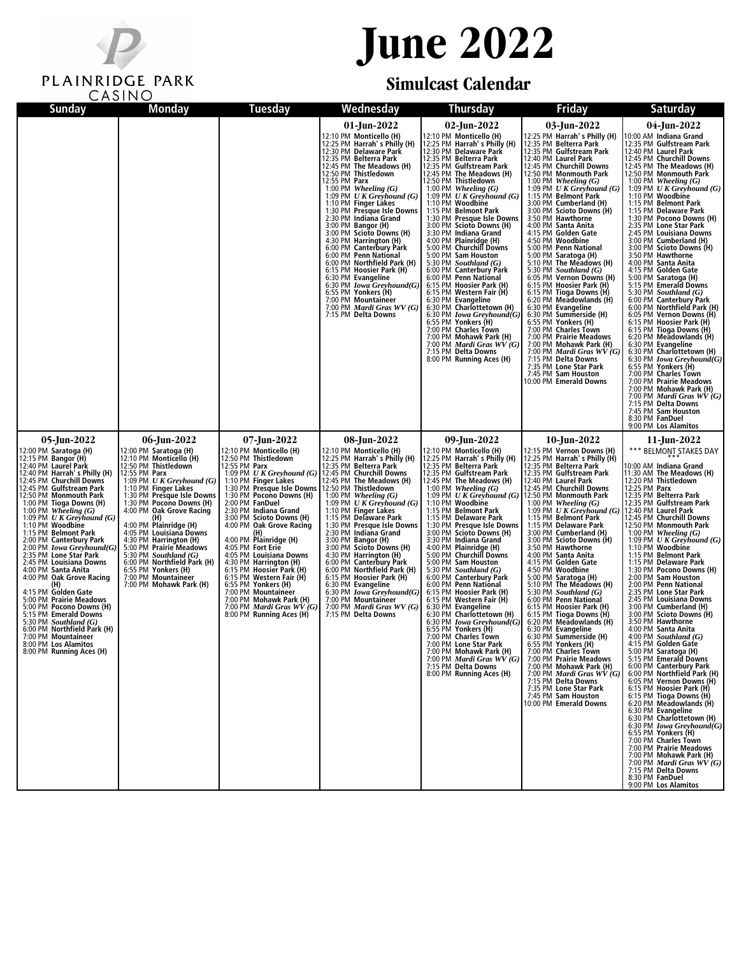

### **June 2022**

### **Simulcast Calendar**

| <b>Sunday</b>                                                                                                                                                                                                                                                                                                                                                                                                                                                                                                           | Monday                                                                                                                                                                                                                                                                       | <b>Tuesday</b>                                                                                                                                                                                                                                                                                                                                                                                                     | Wednesday                                                                                                                                                                                                                                                                                                                                                                                                                                                                                                                                                                                                                                                                                  | <b>Thursday</b>                                                                                                                                                                                                                                                                                                                                                                                                                                                                                                                                                                                                                                                                                                                                                                                                                                                             | Friday                                                                                                                                                                                                                                                                                                                                                                                                                                                                                                                                                                                                                                                                                                                                                                                                                                                                                                                           | <b>Saturday</b>                                                                                                                                                                                                                                                                                                                                                                                                                                                                                                                                                                                                                                                                                                                                                                                                                                                                                                                                                                                                                                                                              |
|-------------------------------------------------------------------------------------------------------------------------------------------------------------------------------------------------------------------------------------------------------------------------------------------------------------------------------------------------------------------------------------------------------------------------------------------------------------------------------------------------------------------------|------------------------------------------------------------------------------------------------------------------------------------------------------------------------------------------------------------------------------------------------------------------------------|--------------------------------------------------------------------------------------------------------------------------------------------------------------------------------------------------------------------------------------------------------------------------------------------------------------------------------------------------------------------------------------------------------------------|--------------------------------------------------------------------------------------------------------------------------------------------------------------------------------------------------------------------------------------------------------------------------------------------------------------------------------------------------------------------------------------------------------------------------------------------------------------------------------------------------------------------------------------------------------------------------------------------------------------------------------------------------------------------------------------------|-----------------------------------------------------------------------------------------------------------------------------------------------------------------------------------------------------------------------------------------------------------------------------------------------------------------------------------------------------------------------------------------------------------------------------------------------------------------------------------------------------------------------------------------------------------------------------------------------------------------------------------------------------------------------------------------------------------------------------------------------------------------------------------------------------------------------------------------------------------------------------|----------------------------------------------------------------------------------------------------------------------------------------------------------------------------------------------------------------------------------------------------------------------------------------------------------------------------------------------------------------------------------------------------------------------------------------------------------------------------------------------------------------------------------------------------------------------------------------------------------------------------------------------------------------------------------------------------------------------------------------------------------------------------------------------------------------------------------------------------------------------------------------------------------------------------------|----------------------------------------------------------------------------------------------------------------------------------------------------------------------------------------------------------------------------------------------------------------------------------------------------------------------------------------------------------------------------------------------------------------------------------------------------------------------------------------------------------------------------------------------------------------------------------------------------------------------------------------------------------------------------------------------------------------------------------------------------------------------------------------------------------------------------------------------------------------------------------------------------------------------------------------------------------------------------------------------------------------------------------------------------------------------------------------------|
|                                                                                                                                                                                                                                                                                                                                                                                                                                                                                                                         |                                                                                                                                                                                                                                                                              |                                                                                                                                                                                                                                                                                                                                                                                                                    | $01$ -Jun-2022<br>12:10 PM Monticello (H)<br>12:25 PM Harrah's Philly (H)<br>12:30 PM Delaware Park<br>12:35 PM Belterra Park<br>12:45 PM The Meadows (H)<br>12:50 PM Thistledown<br>12:55 PM Parx<br>1:00 PM Wheeling $(G)$<br>1:09 PM UK Greyhound $(G)$<br>1:10 PM Finger Lakes<br>1:30 PM Presque Isle Downs<br>2:30 PM Indiana Grand<br>3:00 PM Bangor (H)<br>3:00 PM Scioto Downs (H)<br>4:30 PM Harrington (H)<br>6:00 PM Canterbury Park<br>6:00 PM Penn National<br>6:00 PM Northfield Park (H)<br>6:15 PM Hoosier Park (H)<br>6:30 PM Evangeline<br>6:30 PM Iowa Greyhound(G)<br>6:55 PM Yonkers (H)<br>7:00 PM Mountaineer<br>7:00 PM Mardi Gras $WV$ (G<br>7:15 PM Delta Downs | 02-Jun-2022<br>12:10 PM Monticello (H)<br>12:25 PM Harrah's Philly (H)<br>12:30 PM Delaware Park<br>12:35 PM Belterra Park<br>12:35 PM Gulfstream Park<br>12:45 PM The Meadows (H)<br>12:50 PM Thistledown<br>1:00 PM Wheeling $(G)$<br>1:09 PM $U K G$ reyhound $(G)$<br>1:10 PM Woodbine<br>1:15 PM Belmont Park<br>1:30 PM Presque Isle Downs<br>3:00 PM Scioto Downs (H)<br>3:30 PM Indiana Grand<br>4:00 PM Plainridge (H)<br>5:00 PM Churchill Downs<br>5:00 PM Sam Houston<br>5:30 PM Southland $(G)$<br>6:00 PM Canterbury Park<br>6:00 PM Penn National<br>6:15 PM Hoosier Park (H)<br>6:15 PM Western Fair (H)<br>6:30 PM Evangeline<br>6:30 PM Charlottetown (H)<br>6:30 PM Iowa Greyhound(G)<br>6:55 PM Yonkers (H)<br>7:00 PM Charles Town<br>7:00 PM Mohawk Park (H)<br>7:00 PM <i>Mardi Gras WV</i> $(G)$<br>7:15 PM Delta Downs<br>8:00 PM Running Aces (H) | 03-Jun-2022<br>12:25 PM Harrah's Philly (H)<br>12:35 PM Belterra Park<br>12:35 PM Gulfstream Park<br>12:40 PM Laurel Park<br>12:45 PM Churchill Downs<br>12:50 PM Monmouth Park<br>1:00 PM Wheeling $(G)$<br>1:09 PM $U K G$ reyhound $(G)$<br>1:15 PM Belmont Park<br>3:00 PM Cumberland (H)<br>3:00 PM Scioto Downs (H)<br>3:50 PM Hawthorne<br>4:00 PM Santa Anita<br>4:15 PM Golden Gate<br>4:50 PM Woodbine<br>5:00 PM Penn National<br>5:00 PM Saratoga (H)<br>5:10 PM The Meadows (H)<br>5:30 PM Southland (G)<br>6:05 PM Vernon Downs (H)<br>6:15 PM Vernon Downs (H)<br>6:15 PM Tioga Downs (H)<br>6:20 PM Meadowlands (H)<br>6:30 PM Evangeline<br>6:30 PM Summerside (H)<br>6:55 PM Yonkers (H)<br>7:00 PM Charles Town<br>7:00 PM Prairie Meadows<br>7:00 PM Mohawk Park (H)<br>7:00 PM <i>Mardi Gras WV</i> $(G)$<br>7:15 PM Delta Downs<br>7:35 PM Lone Star Park<br>7:45 PM Sam Houston<br>10:00 PM Emerald Downs | 04-Jun-2022<br>10:00 AM Indiana Grand<br>12:35 PM Gulfstream Park<br>12:40 PM Laurel Park<br>12:45 PM Churchill Downs<br>12:45 PM The Meadows (H)<br>12:50 PM Monmouth Park<br>1:00 PM Wheeling $(G)$<br>1:09 PM $U K G$ reyhound $(G)$<br>1:10 PM Woodbine<br>1:15 PM Belmont Park<br>1:15 PM Delaware Park<br>1:30 PM Pocono Downs (H)<br>2:35 PM Lone Star Park<br>2:45 PM Louisiana Downs<br>3:00 PM Cumberland (H)<br>3:00 PM Scioto Downs (H)<br>3:50 PM Hawthorne<br>4:00 PM Santa Anita<br>4:15 PM Golden Gate<br>5:00 PM Saratoga (H)<br>5:15 PM Emerald Downs<br>5:30 PM Southland (G)<br>6:00 PM Canterbury Park<br>6:00 PM Northfield Park (H)<br>6:05 PM Vernon Downs (H)<br>6:15 PM Hoosier Park (H)<br>6:15 PM Tioga Downs (H)<br>6:20 PM Meadowlands (H)<br>6:30 PM Evangeline<br>6:30 PM Charlottetown (H)<br>6:30 PM Iowa Greyhound(G)<br>6:55 PM Yonkers (H)<br>7:00 PM Charles Town<br>7:00 PM Prairie Meadows<br>7:00 PM Mohawk Park (H)<br>7:00 PM <i>Mardi Gras WV</i> $(G)$<br>7:15 PM Delta Downs<br>7:45 PM Sam Houston<br>8:30 PM FanDuel<br>9:00 PM Los Alamitos |
| 05-Jun-2022<br>12:00 PM Saratoga (H)<br>12:15 PM Bangor (H)<br>12:40 PM Laurel Park<br>12:40 PM Harrah's Philly (H)<br>12:45 PM Churchill Downs<br>12:45 PM Gulfstream Park<br>12:50 PM Monmouth Park<br>1:00 PM Tioga Downs (H)                                                                                                                                                                                                                                                                                        | 06-Jun-2022<br>12:00 PM Saratoga (H)<br>12:10 PM Monticello (H)<br>12:50 PM Thistledown<br>12:55 PM Parx<br>1:09 PM U K Greyhound $(G)$<br>1:10 PM Finger Lakes<br>1:30 PM Presque Isle Downs<br>1:30 PM Pocono Downs (H)                                                    | 07-Jun-2022<br>12:10 PM Monticello (H)<br>12:50 PM Thistledown<br>12:55 PM Parx<br>1:09 PM UK Greyhound (G)<br>1:10 PM Finger Lakes<br>1:30 PM Presque Isle Downs 12:50 PM Thistledown<br>1:30 PM Pocono Downs (H) 1:00 PM Wheeling (G<br>2:00 PM FanDuel                                                                                                                                                          | 08-Jun-2022<br>12:10 PM Monticello (H)<br>12:25 PM Harrah's Philly (H)<br>12:35 PM Belterra Park<br>12:45 PM Churchill Downs<br>12:45 PM The Meadows (H)<br>1:00 PM Wheeling $(G)$<br>1:09 PM $U K G$ reyhound (G)                                                                                                                                                                                                                                                                                                                                                                                                                                                                         | 09-Jun-2022<br>12:10 PM Monticello (H)<br>12:25 PM Harrah's Philly (H)<br>12:25 PM Belterra Park<br>12:35 PM Gulfstream Park<br>12:45 PM The Meadows (H)<br>1:00 PM Wheeling $(G)$<br>1:09 PM U K Greyhound $(G)$<br>1:10 PM Woodbine                                                                                                                                                                                                                                                                                                                                                                                                                                                                                                                                                                                                                                       | 12:15 PM Vernon Downs (H)<br>12:25 PM Harrah's Philly (H)<br>12:35 PM Belterra Park<br>12:35 PM Gulfstream Park<br>12:40 PM Laurel Park<br>12:45 PM Churchill Downs<br>12:50 PM Monmouth Park<br>1:00 PM Wheeling $(G)$                                                                                                                                                                                                                                                                                                                                                                                                                                                                                                                                                                                                                                                                                                          | 11-Jun-2022<br>*** BELMONT STAKES DAY<br>10:00 AM Indiana Grand<br>11:30 AM The Meadows (H)<br>12:20 PM Thistledown<br>12:25 PM Parx<br>12:35 PM Belterra Park<br>12:35 PM Gulfstream Park                                                                                                                                                                                                                                                                                                                                                                                                                                                                                                                                                                                                                                                                                                                                                                                                                                                                                                   |
| 1:00 PM Wheeling $(G)$<br>1:09 PM U K Greyhound $(G)$<br>1:10 PM Woodbine<br>1:15 PM Belmont Park<br>2:00 PM Canterbury Park<br>$2:00$ PM <i>Iowa Greyhound</i> $(G)$<br>2:35 PM Lone Star Park<br>2:45 PM Louisiana Downs<br>4:00 PM Santa Anita<br>4:00 PM Oak Grove Racing<br>4:15 PM Golden Gate<br>5:00 PM Prairie Meadows<br>5:00 PM Pocono Downs (H)<br>5:15 PM Emerald Downs<br>5:30 PM Southland (G)<br>6:00 PM Northfield Park (H)<br>7:00 PM Mountaineer<br>8:00 PM Los Alamitos<br>8:00 PM Running Aces (H) | 4:00 PM Oak Grove Racing<br>(H)<br>4:00 PM Plainridge (H)<br>4:05 PM Louisiana Downs<br>4:30 PM Harrington (H)<br>5:00 PM Prairie Meadows<br>5:30 PM Southland $(G)$<br>6:00 PM Northfield Park (H)<br>6:55 PM Yonkers (H)<br>7:00 PM Mountaineer<br>7:00 PM Mohawk Park (H) | 2:30 PM Indiana Grand<br>3:00 PM Scioto Downs (H)<br>4:00 PM Oak Grove Racing<br>(H)<br>4:00 PM Plainridge (H)<br>4:05 PM Fort Erie<br>4:05 PM Louisiana Downs<br>4:30 PM Harrington (H)<br>6:15 PM Hoosier Park (H)<br>6:15 PM Western Fair (H)<br>6:55 PM Yonkers (H)<br>7:00 PM Mountaineer<br>7:00 PM Mountaineer<br>7:00 PM Mohawk Park (H)<br>7:00 PM <i>Mardi Gras WV</i> $(G)$<br>8:00 PM Running Aces (H) | 1:10 PM Finger Lakes<br>1:15 PM Delaware Park<br>1:30 PM Presque Isle Downs<br>2:30 PM Indiana Grand<br>3:00 PM Bangor (H)<br>3:00 PM Scioto Downs (H)<br>4:30 PM Harrington (H)<br>6:00 PM Canterbury Park<br>6:00 PM Northfield Park (H)<br>6:15 PM Hoosier Park (H)<br>6:30 PM Evangeline<br>6:30 PM Iowa Greyhound(G)<br>7:00 PM Mountaineer<br>7:00 PM Mardi Gras WV (G<br>7:15 PM Delta Downs                                                                                                                                                                                                                                                                                        | 1:15 PM Belmont Park<br>1:15 PM Delaware Park<br>1:30 PM Presque Isle Downs<br>3:00 PM Scioto Downs (H)<br>3:30 PM Indiana Grand<br>4:00 PM Plainridge (H)<br>5:00 PM Churchill Downs<br>5:00 PM Sam Houston<br>5:30 PM Southland $(G)$<br>6:00 PM Canterbury Park<br>6:00 PM Penn National<br>6:15 PM Hoosier Park (H)<br>6:15 PM Western Fair (H)<br>6:30 PM Evangeline<br>6:30 PM Charlottetown (H)<br>6:30 PM Iowa Greyhound(G)<br>6:55 PM Yonkers (H)<br>7:00 PM Charles Town<br>/:00 PM_ <b>Lone Star Park</b><br>7:00 PM Mohawk Park (H)<br>7:00 PM <i>Mardi Gras WV</i> $(G)$<br>7:15 PM Delta Downs<br>8:00 PM Running Aces (H)                                                                                                                                                                                                                                    | 1:09 PM $U$ K Greyhound (G)<br>1:15 PM Belmont Park<br>1:15 PM Delaware Park<br>3:00 PM Cumberland (H)<br>3:00 PM Scioto Downs (H)<br>3:50 PM Hawthorne<br>4:00 PM Santa Anita<br>4:15 PM Golden Gate<br>4:50 PM Woodbine<br>5:00 PM Saratoga (H)<br>5:10 PM The Meadows (H)<br>5:30 PM Southland (G)<br>5.50 PM Soumaina (G)<br>6.00 PM Penn National<br>6.15 PM Hoosier Park (H)<br>6.15 PM Tioga Downs (H)<br>6.20 PM Meadowlands (H)<br>6:30 PM Evangeline<br>6:30 PM Summerside (H)<br>6:55 PM Yonkers (H)<br>7:00 PM Charles Town<br>7:00 PM Prairie Meadows<br>7:00 PM Mohawk Park (H)<br>7:00 PM <i>Mardi Gras WV</i> $(G)$<br>7:15 PM Delta Downs<br>7:35 PM Lone Star Park                                                                                                                                                                                                                                             | 12:40 PM Laurel Park<br>12:45 PM Churchill Downs<br>12:50 PM Monmouth Park<br>1:00 PM Wheeling $(G)$<br>1:09 PM U K Greyhound $(G)$<br>1:10 PM Woodbine<br>1:15 PM Belmont Park<br>1:15 PM Delaware Park<br>1:30 PM Pocono Downs (H)<br>2:00 PM Sam Houston<br>2:00 PM Penn National<br>2:35 PM Lone Star Park<br>2:45 PM Louisiana Downs<br>3:00 PM Cumberland (H)<br>3:00 PM Scioto Downs (H)<br>3:50 PM Hawthorne<br>4:00 PM Santa Anita<br>4:00 PM Southland $(G)$<br>4:15 PM Golden Gate<br>5:00 PM Saratoga (H)<br>5:15 PM Emerald Downs<br>6:00 PM Canterbury Park<br>6:00 PM Northfield Park (H)                                                                                                                                                                                                                                                                                                                                                                                                                                                                                     |
|                                                                                                                                                                                                                                                                                                                                                                                                                                                                                                                         |                                                                                                                                                                                                                                                                              |                                                                                                                                                                                                                                                                                                                                                                                                                    |                                                                                                                                                                                                                                                                                                                                                                                                                                                                                                                                                                                                                                                                                            |                                                                                                                                                                                                                                                                                                                                                                                                                                                                                                                                                                                                                                                                                                                                                                                                                                                                             | 7:45 PM Sam Houston<br>10:00 PM Emerald Downs                                                                                                                                                                                                                                                                                                                                                                                                                                                                                                                                                                                                                                                                                                                                                                                                                                                                                    | 6:05 PM Vernon Downs (H)<br>6:05 PM Vernon Downs (H)<br>6:15 PM Tioga Downs (H)<br>6:20 PM Meadowlands (H)<br>6:30 PM Evangeline<br>6:30 PM Charlottetown (H)<br>6:30 PM Iowa Greyhound $(G)$<br>6:55 PM Yonkers (H)<br>7:00 PM Charles Town<br>7:00 PM Prairie Meadows<br>7:00 PM Mohawk Park (H)<br>7:00 PM Mardi Gras WV (G)<br>7:15 PM Delta Downs<br>8:30 PM FanDuel<br>9:00 PM Los Alamitos                                                                                                                                                                                                                                                                                                                                                                                                                                                                                                                                                                                                                                                                                            |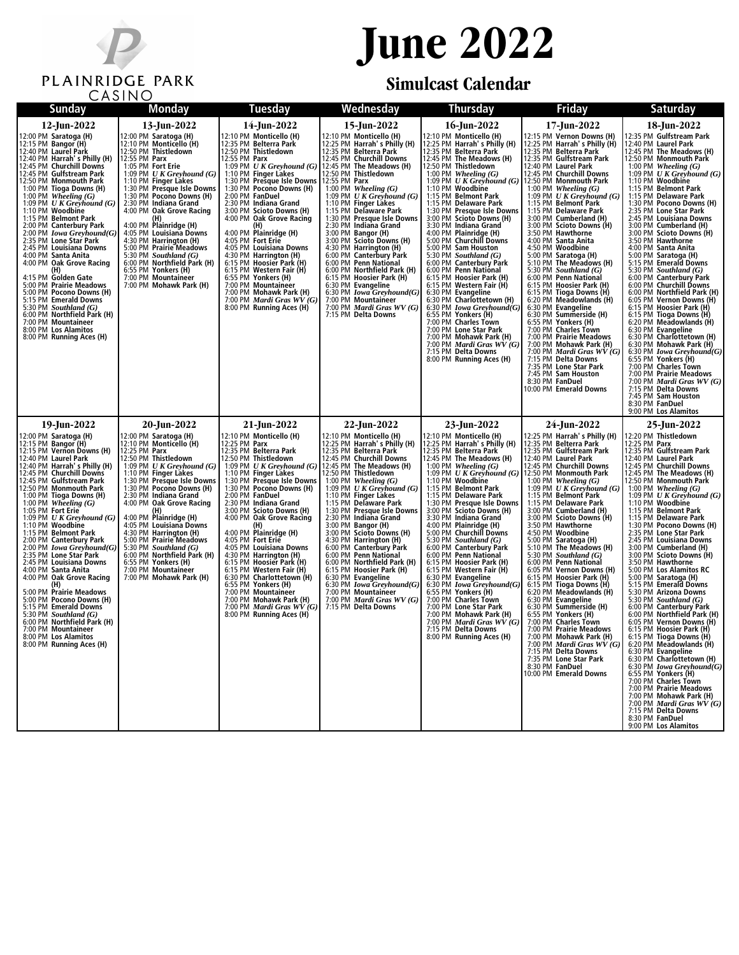

#### PLAINRIDGE PARK CASINO

# **June 2022**

### **Simulcast Calendar**

| <b>Sunday</b>                                                                                                                                                                                                                                                                                                                                                                                                                                                                                                                                                                                                                                                                                                                                                        | <b>Monday</b>                                                                                                                                                                                                                                                                                                                                                                                                                                                                                                                  | <b>Tuesday</b>                                                                                                                                                                                                                                                                                                                                                                                                                                                                                                                                                                                                            | Wednesday                                                                                                                                                                                                                                                                                                                                                                                                                                                                                                                                                                                                                                                                                                                   | <b>Thursday</b>                                                                                                                                                                                                                                                                                                                                                                                                                                                                                                                                                                                                                                                                                                                                                                                                                                            | <b>Friday</b>                                                                                                                                                                                                                                                                                                                                                                                                                                                                                                                                                                                                                                                                                                                                                                                                                                                                                                                         | <b>Saturday</b>                                                                                                                                                                                                                                                                                                                                                                                                                                                                                                                                                                                                                                                                                                                                                                                                                                                                                                                                                                                                                                                      |
|----------------------------------------------------------------------------------------------------------------------------------------------------------------------------------------------------------------------------------------------------------------------------------------------------------------------------------------------------------------------------------------------------------------------------------------------------------------------------------------------------------------------------------------------------------------------------------------------------------------------------------------------------------------------------------------------------------------------------------------------------------------------|--------------------------------------------------------------------------------------------------------------------------------------------------------------------------------------------------------------------------------------------------------------------------------------------------------------------------------------------------------------------------------------------------------------------------------------------------------------------------------------------------------------------------------|---------------------------------------------------------------------------------------------------------------------------------------------------------------------------------------------------------------------------------------------------------------------------------------------------------------------------------------------------------------------------------------------------------------------------------------------------------------------------------------------------------------------------------------------------------------------------------------------------------------------------|-----------------------------------------------------------------------------------------------------------------------------------------------------------------------------------------------------------------------------------------------------------------------------------------------------------------------------------------------------------------------------------------------------------------------------------------------------------------------------------------------------------------------------------------------------------------------------------------------------------------------------------------------------------------------------------------------------------------------------|------------------------------------------------------------------------------------------------------------------------------------------------------------------------------------------------------------------------------------------------------------------------------------------------------------------------------------------------------------------------------------------------------------------------------------------------------------------------------------------------------------------------------------------------------------------------------------------------------------------------------------------------------------------------------------------------------------------------------------------------------------------------------------------------------------------------------------------------------------|---------------------------------------------------------------------------------------------------------------------------------------------------------------------------------------------------------------------------------------------------------------------------------------------------------------------------------------------------------------------------------------------------------------------------------------------------------------------------------------------------------------------------------------------------------------------------------------------------------------------------------------------------------------------------------------------------------------------------------------------------------------------------------------------------------------------------------------------------------------------------------------------------------------------------------------|----------------------------------------------------------------------------------------------------------------------------------------------------------------------------------------------------------------------------------------------------------------------------------------------------------------------------------------------------------------------------------------------------------------------------------------------------------------------------------------------------------------------------------------------------------------------------------------------------------------------------------------------------------------------------------------------------------------------------------------------------------------------------------------------------------------------------------------------------------------------------------------------------------------------------------------------------------------------------------------------------------------------------------------------------------------------|
| 12-Jun-2022                                                                                                                                                                                                                                                                                                                                                                                                                                                                                                                                                                                                                                                                                                                                                          | 13-Jun-2022                                                                                                                                                                                                                                                                                                                                                                                                                                                                                                                    | 14-Jun-2022                                                                                                                                                                                                                                                                                                                                                                                                                                                                                                                                                                                                               | 15-Jun-2022                                                                                                                                                                                                                                                                                                                                                                                                                                                                                                                                                                                                                                                                                                                 | 16-Jun-2022                                                                                                                                                                                                                                                                                                                                                                                                                                                                                                                                                                                                                                                                                                                                                                                                                                                | 17-Jun-2022                                                                                                                                                                                                                                                                                                                                                                                                                                                                                                                                                                                                                                                                                                                                                                                                                                                                                                                           | 18-Jun-2022                                                                                                                                                                                                                                                                                                                                                                                                                                                                                                                                                                                                                                                                                                                                                                                                                                                                                                                                                                                                                                                          |
| 12:00 PM Saratoga (H)<br>12:05 PM Bangor (H)<br>12:15 PM Bangor (H)<br>12:40 PM Laurel Park<br>12:40 PM Harrah's Philly (H)<br>12:45 PM Churchill Downs<br>12:45 PM Gulfstream Park<br>12:50 PM Monmouth Park<br>1:00 PM Tioga Downs (H)<br>1:00 PM Wheeling (G)<br>1:09 PM $U K G$ reyhound $(G)$<br>1:10 PM Woodbine<br>1:15 PM Belmont Park<br>2:00 PM Canterbury Park<br>$2:00$ PM <i>Iowa Greyhound</i> $(G)$<br>2:35 PM Lone Star Park<br>2:45 PM Louisiana Downs<br>4:00 PM Santa Anita<br>4:00 PM Oak Grove Racing<br>4:15 PM Golden Gate<br>5:00 PM Prairie Meadows<br>5:00 PM Pocono Downs (H)<br>5:15 PM Emerald Downs<br>5:30 PM Southland (G)<br>6:00 PM Northfield Park (H)<br>7:00 PM Mountaineer<br>8:00 PM Los Alamitos<br>8:00 PM Running Aces (H) | 12:00 PM Saratoga (H)<br>12:10 PM Monticello (H)<br>12:50 PM Thistledown<br>12:55 PM Parx<br>1:05 PM Fort Erie<br>1:09 PM UK Greyhound $(G)$<br>1:10 PM Finger Lakes<br>1:30 PM Presque Isle Downs<br>1:30 PM Pocono Downs (H)<br>2:30 PM Indiana Grand<br>4:00 PM Oak Grove Racing<br>4:00 PM Plainridge (H)<br>4:05 PM Louisiana Downs<br>4:30 PM Harrington (H)<br>5:00 PM Prairie Meadows<br>5:30 PM Southland (G)<br>6:00 PM Northfield Park (H)<br>6:55 PM Yonkers (H)<br>7:00 PM Mountaineer<br>7:00 PM Mohawk Park (H) | 12:10 PM Monticello (H)<br>12:35 PM Belterra Park<br>12:50 PM Thistledown<br>12:55 PM Parx<br>1:09 PM $U K G$ reyhound $(G)$<br>1:10 PM Finger Lakes<br>1:30 PM Presque Isle Downs<br>1:30 PM Pocono Downs (H)<br>2:00 PM FanDuel<br>2:30 PM Indiana Grand<br>3:00 PM Scioto Downs (H)<br>4:00 PM Oak Grove Racing<br>4:00 PM Plainridge (H)<br>4:05 PM Fort Erie<br>4:05 PM Louisiana Downs<br>4:30 PM Harrington (H)<br>6:15 PM Hoosier Park (H)<br>6:15 PM Western Fair (H)<br>6:55 PM Yonkers (H)<br>7:00 PM Mountaineer<br>7:00 PM Mohawk Park (H)<br>7:00 PM <i>Mardi Gras WV</i> $(G)$<br>8:00 PM Running Aces (H) | 12:10 PM Monticello (H)<br>12:25 PM Harrah's Philly (H)<br>12:35 PM Belterra Park<br>12:45 PM Churchill Downs<br>12:45 PM The Meadows (H)<br>12:50 PM Thistledown<br>12:55 PM <b>Parx</b><br>12:55 PM <b>Parx</b><br>1:00 PM <i>Wheeling</i> ( <i>G</i> )<br>1:09 PM $U K G$ reyhound $(G)$<br>1:10 PM Finger Lakes<br>1:15 PM Delaware Park<br>1:30 PM Presque Isle Downs<br>2:30 PM Indiana Grand<br>3:00 PM Bangor (H)<br>3:00 PM Scioto Downs (H)<br>4:30 PM Harrington (H)<br>6:00 PM Canterbury Park<br>6:00 PM Penn National<br>6:00 PM Northfield Park (H)<br>6:15 PM Hoosier Park (H)<br>6:30 PM Evangeline<br>6:30 PM Iowa Greyhound(G<br>7:00 PM Mountaineer<br>7:00 PM Mardi Gras WV (G)<br>7:15 PM Delta Downs | 12:10 PM Monticello (H)<br>12:25 PM Harrah's Philly (H)<br>12:35 PM Belterra Park<br>12:45 PM The Meadows (H)<br>12:50 PM Thistledown<br>$1.00$ PM Wheeling $(G)$<br>1:09 PM <i>UK Greyhound (G)</i><br>1:10 PM Woodbine<br>1:15 PM Belmont Park<br>1:15 PM Delaware Park<br>1:30 PM Presque Isle Downs<br>3:00 PM Scioto Downs (H)<br>3:30 PM Indiana Grand<br>4:00 PM Plainridge (H)<br>5:00 PM Churchill Downs<br>5:00 PM Sam Houston<br>5:30 PM Southland (G)<br>6:00 PM Canterbury Park<br>6:00 PM Penn National<br>6:15 PM Hoosier Park (H)<br>6:15 PM Western Fair (H)<br>6:30 PM Evangeline<br>6:30 PM Charlottetown (H)<br>6:30 PM Iowa Greyhound(G)<br>6:55 PM Yonkers (H)<br>7:00 PM Charles Town<br>7:00 PM Lone Star Park<br>7:00 PM Mohawk Park (H)<br>7:00 PM <i>Mardi Gras WV</i> $(G)$<br>7:15 PM Delta Downs<br>8:00 PM Running Aces (H) | 12:15 PM Vernon Downs (H)<br>12:25 PM Harrah's Philly (H)<br>12:35 PM Belterra Park<br>12:35 PM Gulfstream Park<br>12:40 PM Laurel Park<br>12:45 PM Churchill Downs<br>12:50 PM Monmouth Park<br>1:00 PM Wheeling (G)<br>1:09 PM $U K G$ reyhound $(G)$<br>1:15 PM Belmont Park<br>1:15 PM Delaware Park<br>3:00 PM Cumberland (H)<br>3:00 PM Scioto Downs (H)<br>3:50 PM Hawthorne<br>4:00 PM Santa Anita<br>4:50 PM Woodbine<br>5:00 PM Saratoga (H)<br>5:10 PM The Meadows (H)<br>5:30 PM Southland (G)<br>6:00 PM Penn National<br>6:15 PM Hoosier Park (H)<br>6:15 PM Tioga Downs (H)<br>6:20 PM Meadowlands (H)<br>6:30 PM Evangeline<br>6:30 PM Summerside (H)<br>6:55 PM Yonkers (H)<br>7:00 PM Charles Town<br>7:00 PM Prairie Meadows<br>7:00 PM Mohawk Park (H)<br>7:00 PM <i>Mardi Gras WV</i> $(G)$<br>7:15 PM Delta Downs<br>7:35 PM Lone Star Park<br>7:45 PM Sam Houston<br>8:30 PM FanDuel<br>10:00 PM Emerald Downs | 12:35 PM Gulfstream Park<br>12:40 PM Laurel Park<br>12:45 PM The Meadows (H)<br>12:50 PM Monmouth Park<br>1:00 PM Wheeling $(G)$<br>1:09 PM U K Greyhound $(G)$<br>1:10 PM Woodbine<br>1:15 PM Belmont Park<br>1:15 PM Delaware Park<br>1:30 PM Pocono Downs (H)<br>2:35 PM Lone Star Park<br>2:45 PM Louisiana Downs<br>3:00 PM Cumberland (H)<br>3:00 PM Scioto Downs (H)<br>3:50 PM Hawthorne<br>4:00 PM Santa Anita<br>5:00 PM Saratoga (H)<br>5:15 PM Emerald Downs<br>5:30 PM Southland (G)<br>6:00 PM Canterbury Park<br>6:00 PM Churchill Downs<br>6:00 PM Northfield Park (H)<br>6:05 PM Vernon Downs (H)<br>6:15 PM Hoosier Park (H)<br>6:15 PM Tioga Downs (H)<br>6:20 PM Meadowlands (H)<br>6:30 PM Evangeline<br>6:30 PM Charlottetown (H)<br>6:30 PM Mohawk Park (H)<br>6:30 PM <i>Iowa Greyhound</i> $(G)$<br>6:55 PM Yonkers (H)<br>7:00 PM Charles Town<br>7:00 PM Prairie Meadows<br>7:00 PM Mardi Gras $WV(G)$<br>7:15 PM Delta Downs<br>7:45 PM Sam Houston<br>8:30 PM FanDuel<br>9:00 PM Los Alamitos                                           |
| 19-Jun-2022<br>12:00 PM Saratoga (H)<br>12:15 PM Bangor (H)                                                                                                                                                                                                                                                                                                                                                                                                                                                                                                                                                                                                                                                                                                          | 20-Jun-2022<br>12:00 PM Saratoga (H)<br>12:10 PM Monticello (H)                                                                                                                                                                                                                                                                                                                                                                                                                                                                | 21-Jun-2022<br>12:10 PM Monticello (H)                                                                                                                                                                                                                                                                                                                                                                                                                                                                                                                                                                                    | 22-Jun-2022<br>12:10 PM Monticello (H)                                                                                                                                                                                                                                                                                                                                                                                                                                                                                                                                                                                                                                                                                      | 23-Jun-2022<br>12:10 PM Monticello (H)                                                                                                                                                                                                                                                                                                                                                                                                                                                                                                                                                                                                                                                                                                                                                                                                                     | 24-Jun-2022<br>12:25 PM Harrah's Philly (H)                                                                                                                                                                                                                                                                                                                                                                                                                                                                                                                                                                                                                                                                                                                                                                                                                                                                                           | 25-Jun-2022<br>12:20 PM Thistledown                                                                                                                                                                                                                                                                                                                                                                                                                                                                                                                                                                                                                                                                                                                                                                                                                                                                                                                                                                                                                                  |
| 12:15 PM Vernon Downs (H)<br>12:40 PM Laurel Park<br>12:40 PM Harrah's Philly (H)<br>12:45 PM Churchill Downs<br>12:45 PM Gulfstream Park<br>12:50 PM Monmouth Park<br>1:00 PM Tioga Downs (H)<br>1:00 PM Wheeling $(G)$<br>1:05 PM Fort Erie<br>1:09 PM $U K G$ reyhound (G)<br>1:10 PM Woodbine<br>1:15 PM Belmont Park<br>2:00 PM Canterbury Park<br>$2:00$ PM <i>Iowa Greyhound</i> ( $G$ )<br>2:35 PM Lone Star Park<br>2:45 PM Louisiana Downs<br>4:00 PM Santa Anita<br>4:00 PM Oak Grove Racing<br>5:00 PM Prairie Meadows<br>5:00 PM Pocono Downs (H)<br>5:15 PM Emerald Downs<br>5:30 PM Southland (G)<br>6:00 PM Northfield Park (H)<br>7:00 PM Mountaineer<br>8:00 PM Los Alamitos<br>8:00 PM Running Aces (H)                                           | 12:25 PM Parx<br>12:50 PM Thistledown<br>1:09 PM $U K G$ reyhound $(G)$<br>1:10 PM Finger Lakes<br>1:30 PM Presque Isle Downs<br>1:30 PM Pocono Downs (H)<br>2:30 PM Indiana Grand<br>4:00 PM Oak Grove Racing<br>(H)<br>4:00 PM Plainridge (H)<br>4:05 PM Louisiana Downs<br>4:30 PM Harrington (H)<br>5:00 PM Prairie Meadows<br>5:30 PM Southland (G)<br>6:00 PM Northfield Park (H)<br>6:55 PM Yonkers (H)<br>7:00 PM Mountaineer<br>7:00 PM Mohawk Park (H)                                                               | 12:25 PM Parx<br>12:35 PM Belterra Park<br>12:50 PM Thistledown<br>1:09 PM $U K G$ reyhound $(G)$<br>1:10 PM Finger Lakes<br>1:30 PM Presque Isle Downs<br>1:30 PM Pocono Downs (H)<br>2:00 PM FanDuel<br>2:30 PM Indiana Grand<br>3:00 PM Scioto Downs (H)<br>4:00 PM Oak Grove Racing<br>4:00 PM Plainridge (H)<br>4:05 PM Fort Erie<br>4:05 PM Louisiana Downs<br>4:30 PM Harrington (H)<br>6:15 PM Hoosier Park (H)<br>6:15 PM Western Fair (H)<br>6:30 PM Charlottetown (H)<br>6:55 PM Yonkers (H)<br>7:00 PM Mountaineer<br>7:00 PM Mohawk Park (H)<br>7:00 PM Mardi Gras WV (G)<br>8:00 PM Running Aces (H)        | 12:25 PM Harrah's Philly (H)<br>12:35 PM Belterra Park<br>12:45 PM Churchill Downs<br>12:45 PM The Meadows (H)<br>12:50 PM Thistledown<br>$1:00$ PM Wheeling $(G)$<br>1:09 PM <i>UK Greyhound (G)</i><br>1:10 PM Finger Lakes<br>1:15 PM Delaware Park<br>1:30 PM Presque Isle Downs<br>2:30 PM Indiana Grand<br>3:00 PM Bangor (H)<br>3:00 PM Scioto Downs (H)<br>4:30 PM Harrington (H)<br>6:00 PM Canterbury Park<br>6:00 PM Penn National<br>6:00 PM Northfield Park (H)<br>6:15 PM Hoosier Park (H)<br>6:30 PM Evangeline<br>6:30 PM Iowa Greyhound(G<br>7:00 PM Mountaineer<br>7:00 PM Mardi Gras WV (G)<br>7:15 PM Delta Downs                                                                                       | 12:25 PM Harrah's Philly (H)<br>12:35 PM Belterra Park<br>12:45 PM The Meadows (H)<br>1:00 PM Wheeling $(G)$<br>1:09 PM $U K Grevhound(G)$<br>1:10 PM Woodbine<br>1:15 PM Belmont Park<br>1:15 PM Delaware Park<br>1:30 PM Presque Isle Downs<br>3:00 PM Scioto Downs (H)<br>3:30 PM Indiana Grand<br>4:00 PM Plainridge (H)<br>5:00 PM Churchill Downs<br>5:30 PM Southland (G)<br>6:00 PM Canterbury Park<br>6:00 PM Penn National<br>6:15 PM Hoosier Park (H)<br>6:15 PM Western Fair (H)<br>6:30 PM Evangeline<br>6:30 PM Iowa Greyhound(G)<br>6:55 PM Yonkers (H)<br>7:00 PM Charles Town<br>7:00 PM Lone Star Park<br>7:00 PM Mohawk Park (H)<br>7:00 PM <i>Mardi Gras WV</i> $(G)$<br>7:15 PM Delta Downs<br>8:00 PM Running Aces (H)                                                                                                               | 12:35 PM Belterra Park<br>12:35 PM Gulfstream Park<br>12:40 PM Laurel Park<br>12:45 PM Churchill Downs<br>12:50 PM Monmouth Park<br>1:00 PM Wheeling $(G)$<br>1:09 PM <i>UK Greyhound (G)</i><br>1:15 PM Belmont Park<br>1:15 PM Delaware Park<br>3:00 PM Cumberland (H)<br>3:00 PM Scioto Downs (H)<br>3:50 PM Hawthorne<br>4:50 PM Woodbine<br>5:00 PM Saratoga (H)<br>5:10 PM The Meadows (H)<br>5:30 PM Southland $(G)$<br>6:00 PM Penn National<br>6:05 PM Vernon Downs (H)<br>6:15 PM Hoosier Park (H)<br>6:15 PM Tioga Downs (H)<br>6:20 PM Meadowlands (H)<br>6:30 PM Evangeline<br>6:30 PM Summerside (H)<br>6:55 PM Yonkers (H)<br>7:00 PM Charles Town<br>7:00 PM Prairie Meadows<br>7:00 PM Mohawk Park (H)<br>7:00 PM <i>Mardi Gras WV</i> $(G)$<br>7:15 PM Delta Downs<br>7:35 PM Lone Star Park<br>8:30 PM FanDuel<br>10:00 PM Emerald Downs                                                                           | 12:25 PM Parx<br>12:35 PM Gulfstream Park<br>12:40 PM Laurel Park<br>12:45 PM Churchill Downs<br>12:45 PM The Meadows (H)<br>12:50 PM Monmouth Park<br>1:00 PM Wheeling $(G)$<br>1:09 PM $\overline{U}$ K Greyhound (G)<br>1:10 PM Woodbine<br>1:15 PM Belmont Park<br>1:15 PM Delaware Park<br>1:30 PM Pocono Downs (H)<br>2:35 PM Lone Star Park<br>2:45 PM Louisiana Downs<br>3:00 PM Cumberland (H)<br>3:00 PM Scioto Downs (H)<br>3:50 PM Hawthorne<br>5:00 PM Los Alamitos RC<br>5:00 PM Saratoga (H)<br>5:15 PM Emerald Downs<br>5:30 PM Arizona Downs<br>5:30 PM Southland $(G)$<br>6:00 PM Canterbury Park<br>6:00 PM Northfield Park (H)<br>6:05 PM Vernon Downs (H)<br>6:15 PM Hoosier Park (H)<br>6:15 PM Tioga Downs (H)<br>6:20 PM Meadowlands (H)<br>6:30 PM Evangeline<br>6:30 PM Charlottetown (H)<br>6:30 PM <i>Iowa Greyhound(G)</i><br>6:55 PM Yonkers (H)<br>7:00 PM Charles Town<br>7:00 PM Prairie Meadows<br>7:00 PM Mohawk Park (H)<br>7:00 PM <i>Mardi Gras WV</i> $(G)$<br>7:15 PM Delta Downs<br>8:30 PM FanDuel<br>9:00 PM Los Alamitos |